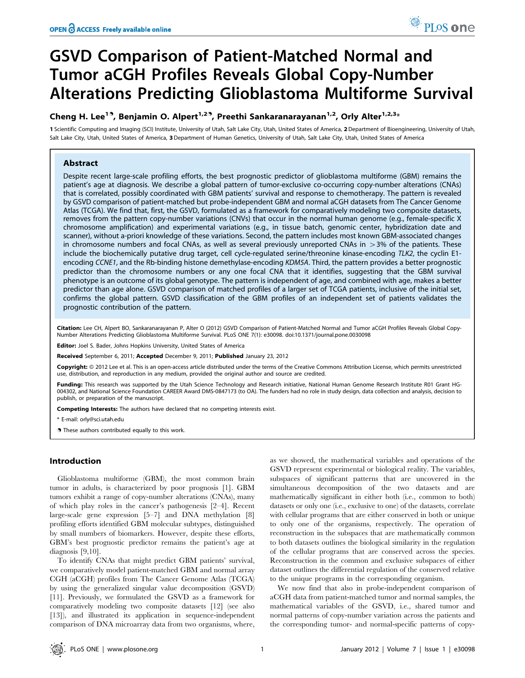# GSVD Comparison of Patient-Matched Normal and Tumor aCGH Profiles Reveals Global Copy-Number Alterations Predicting Glioblastoma Multiforme Survival

# Cheng H. Lee<sup>19</sup>, Benjamin O. Alpert<sup>1,29</sup>, Preethi Sankaranarayanan<sup>1,2</sup>, Orly Alter<sup>1,2,3</sup>\*

1 Scientific Computing and Imaging (SCI) Institute, University of Utah, Salt Lake City, Utah, United States of America, 2 Department of Bioengineering, University of Utah, Salt Lake City, Utah, United States of America, 3 Department of Human Genetics, University of Utah, Salt Lake City, Utah, United States of America

# Abstract

Despite recent large-scale profiling efforts, the best prognostic predictor of glioblastoma multiforme (GBM) remains the patient's age at diagnosis. We describe a global pattern of tumor-exclusive co-occurring copy-number alterations (CNAs) that is correlated, possibly coordinated with GBM patients' survival and response to chemotherapy. The pattern is revealed by GSVD comparison of patient-matched but probe-independent GBM and normal aCGH datasets from The Cancer Genome Atlas (TCGA). We find that, first, the GSVD, formulated as a framework for comparatively modeling two composite datasets, removes from the pattern copy-number variations (CNVs) that occur in the normal human genome (e.g., female-specific X chromosome amplification) and experimental variations (e.g., in tissue batch, genomic center, hybridization date and scanner), without a-priori knowledge of these variations. Second, the pattern includes most known GBM-associated changes in chromosome numbers and focal CNAs, as well as several previously unreported CNAs in  $>3\%$  of the patients. These include the biochemically putative drug target, cell cycle-regulated serine/threonine kinase-encoding TLK2, the cyclin E1encoding CCNE1, and the Rb-binding histone demethylase-encoding KDM5A. Third, the pattern provides a better prognostic predictor than the chromosome numbers or any one focal CNA that it identifies, suggesting that the GBM survival phenotype is an outcome of its global genotype. The pattern is independent of age, and combined with age, makes a better predictor than age alone. GSVD comparison of matched profiles of a larger set of TCGA patients, inclusive of the initial set, confirms the global pattern. GSVD classification of the GBM profiles of an independent set of patients validates the prognostic contribution of the pattern.

Citation: Lee CH, Alpert BO, Sankaranarayanan P, Alter O (2012) GSVD Comparison of Patient-Matched Normal and Tumor aCGH Profiles Reveals Global Copy-Number Alterations Predicting Glioblastoma Multiforme Survival. PLoS ONE 7(1): e30098. doi:10.1371/journal.pone.0030098

Editor: Joel S. Bader, Johns Hopkins University, United States of America

Received September 6, 2011; Accepted December 9, 2011; Published January 23, 2012

Copyright: © 2012 Lee et al. This is an open-access article distributed under the terms of the Creative Commons Attribution License, which permits unrestricted use, distribution, and reproduction in any medium, provided the original author and source are credited.

**Funding:** This research was supported by the Utah Science Technology and Research initiative, National Human Genome Research Institute R01 Grant HG-<br>004302, and National Science Foundation CAREER Award DMS-0847173 (to OA) publish, or preparation of the manuscript.

Competing Interests: The authors have declared that no competing interests exist.

\* E-mail: orly@sci.utah.edu

. These authors contributed equally to this work.

# Introduction

Glioblastoma multiforme (GBM), the most common brain tumor in adults, is characterized by poor prognosis [1]. GBM tumors exhibit a range of copy-number alterations (CNAs), many of which play roles in the cancer's pathogenesis [2–4]. Recent large-scale gene expression [5–7] and DNA methylation [8] profiling efforts identified GBM molecular subtypes, distinguished by small numbers of biomarkers. However, despite these efforts, GBM's best prognostic predictor remains the patient's age at diagnosis [9,10].

To identify CNAs that might predict GBM patients' survival, we comparatively model patient-matched GBM and normal array CGH (aCGH) profiles from The Cancer Genome Atlas (TCGA) by using the generalized singular value decomposition (GSVD) [11]. Previously, we formulated the GSVD as a framework for comparatively modeling two composite datasets [12] (see also [13]), and illustrated its application in sequence-independent comparison of DNA microarray data from two organisms, where,

as we showed, the mathematical variables and operations of the GSVD represent experimental or biological reality. The variables, subspaces of significant patterns that are uncovered in the simultaneous decomposition of the two datasets and are mathematically significant in either both (i.e., common to both) datasets or only one (i.e., exclusive to one) of the datasets, correlate with cellular programs that are either conserved in both or unique to only one of the organisms, respectively. The operation of reconstruction in the subspaces that are mathematically common to both datasets outlines the biological similarity in the regulation of the cellular programs that are conserved across the species. Reconstruction in the common and exclusive subspaces of either dataset outlines the differential regulation of the conserved relative to the unique programs in the corresponding organism.

We now find that also in probe-independent comparison of aCGH data from patient-matched tumor and normal samples, the mathematical variables of the GSVD, i.e., shared tumor and normal patterns of copy-number variation across the patients and the corresponding tumor- and normal-specific patterns of copy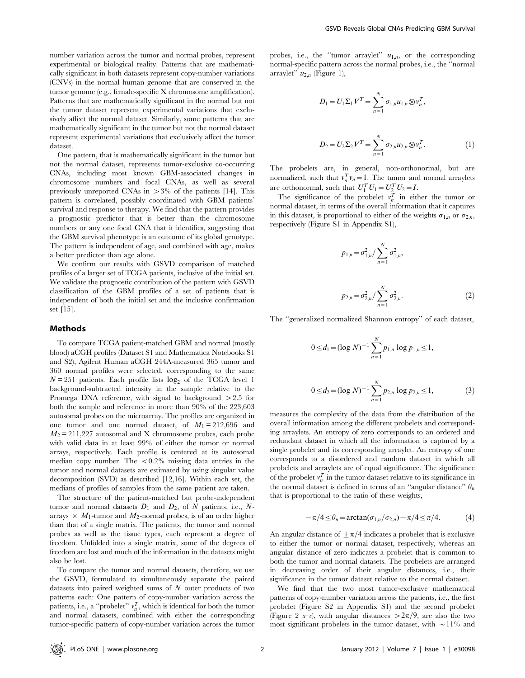number variation across the tumor and normal probes, represent experimental or biological reality. Patterns that are mathematically significant in both datasets represent copy-number variations (CNVs) in the normal human genome that are conserved in the tumor genome (e.g., female-specific X chromosome amplification). Patterns that are mathematically significant in the normal but not the tumor dataset represent experimental variations that exclusively affect the normal dataset. Similarly, some patterns that are mathematically significant in the tumor but not the normal dataset represent experimental variations that exclusively affect the tumor dataset.

One pattern, that is mathematically significant in the tumor but not the normal dataset, represents tumor-exclusive co-occurring CNAs, including most known GBM-associated changes in chromosome numbers and focal CNAs, as well as several previously unreported CNAs in  $>3\%$  of the patients [14]. This pattern is correlated, possibly coordinated with GBM patients' survival and response to therapy. We find that the pattern provides a prognostic predictor that is better than the chromosome numbers or any one focal CNA that it identifies, suggesting that the GBM survival phenotype is an outcome of its global genotype. The pattern is independent of age, and combined with age, makes a better predictor than age alone.

We confirm our results with GSVD comparison of matched profiles of a larger set of TCGA patients, inclusive of the initial set. We validate the prognostic contribution of the pattern with GSVD classification of the GBM profiles of a set of patients that is independent of both the initial set and the inclusive confirmation set [15].

## Methods

To compare TCGA patient-matched GBM and normal (mostly blood) aCGH profiles (Dataset S1 and Mathematica Notebooks S1 and S2), Agilent Human aCGH 244A-measured 365 tumor and 360 normal profiles were selected, corresponding to the same  $N = 251$  patients. Each profile lists log<sub>2</sub> of the TCGA level 1 background-subtracted intensity in the sample relative to the Promega DNA reference, with signal to background  $>2.5$  for both the sample and reference in more than 90% of the 223,603 autosomal probes on the microarray. The profiles are organized in one tumor and one normal dataset, of  $M_1 = 212,696$  and  $M_2 = 211,227$  autosomal and X chromosome probes, each probe with valid data in at least 99% of either the tumor or normal arrays, respectively. Each profile is centered at its autosomal median copy number. The  $\langle 0.2\%$  missing data entries in the tumor and normal datasets are estimated by using singular value decomposition (SVD) as described [12,16]. Within each set, the medians of profiles of samples from the same patient are taken.

The structure of the patient-matched but probe-independent tumor and normal datasets  $D_1$  and  $D_2$ , of N patients, i.e., Narrays  $\times$  M<sub>1</sub>-tumor and M<sub>2</sub>-normal probes, is of an order higher than that of a single matrix. The patients, the tumor and normal probes as well as the tissue types, each represent a degree of freedom. Unfolded into a single matrix, some of the degrees of freedom are lost and much of the information in the datasets might also be lost.

To compare the tumor and normal datasets, therefore, we use the GSVD, formulated to simultaneously separate the paired datasets into paired weighted sums of  $N$  outer products of two patterns each: One pattern of copy-number variation across the patients, i.e., a "probelet"  $v_n^T$ , which is identical for both the tumor and normal datasets, combined with either the corresponding tumor-specific pattern of copy-number variation across the tumor

probes, i.e., the "tumor arraylet"  $u_{1,n}$ , or the corresponding normal-specific pattern across the normal probes, i.e., the ''normal arraylet"  $u_{2,n}$  (Figure 1),

$$
D_1 = U_1 \Sigma_1 V^T = \sum_{n=1}^N \sigma_{1,n} u_{1,n} \otimes v_n^T,
$$
  

$$
D_2 = U_2 \Sigma_2 V^T = \sum_{n=1}^N \sigma_{2,n} u_{2,n} \otimes v_n^T.
$$
 (1)

The probelets are, in general, non-orthonormal, but are normalized, such that  $v_n^T v_n = 1$ . The tumor and normal arraylets are orthonormal, such that  $U_1^T U_1 = U_2^T U_2 = I$ .

The significance of the probelet  $v_n^T$  in either the tumor or normal dataset, in terms of the overall information that it captures in this dataset, is proportional to either of the weights  $\sigma_{1,n}$  or  $\sigma_{2,n}$ , respectively (Figure S1 in Appendix S1),

$$
p_{1,n} = \sigma_{1,n}^2 / \sum_{n=1}^N \sigma_{1,n}^2,
$$
  

$$
p_{2,n} = \sigma_{2,n}^2 / \sum_{n=1}^N \sigma_{2,n}^2.
$$
 (2)

The ''generalized normalized Shannon entropy'' of each dataset,

$$
0 \le d_1 = (\log N)^{-1} \sum_{n=1}^{N} p_{1,n} \log p_{1,n} \le 1,
$$
  

$$
0 \le d_2 = (\log N)^{-1} \sum_{n=1}^{N} p_{2,n} \log p_{2,n} \le 1,
$$
 (3)

measures the complexity of the data from the distribution of the overall information among the different probelets and corresponding arraylets. An entropy of zero corresponds to an ordered and redundant dataset in which all the information is captured by a single probelet and its corresponding arraylet. An entropy of one corresponds to a disordered and random dataset in which all probelets and arraylets are of equal significance. The significance of the probelet  $v_n^T$  in the tumor dataset relative to its significance in the normal dataset is defined in terms of an "angular distance"  $\theta_n$ that is proportional to the ratio of these weights,

$$
-\pi/4 \le \theta_n = \arctan(\sigma_{1,n}/\sigma_{2,n}) - \pi/4 \le \pi/4. \tag{4}
$$

An angular distance of  $\pm \pi/4$  indicates a probelet that is exclusive to either the tumor or normal dataset, respectively, whereas an angular distance of zero indicates a probelet that is common to both the tumor and normal datasets. The probelets are arranged in decreasing order of their angular distances, i.e., their significance in the tumor dataset relative to the normal dataset.

We find that the two most tumor-exclusive mathematical patterns of copy-number variation across the patients, i.e., the first probelet (Figure S2 in Appendix S1) and the second probelet (Figure 2  $a-c$ ), with angular distances  $>2\pi/9$ , are also the two most significant probelets in the tumor dataset, with  $\sim$ 11% and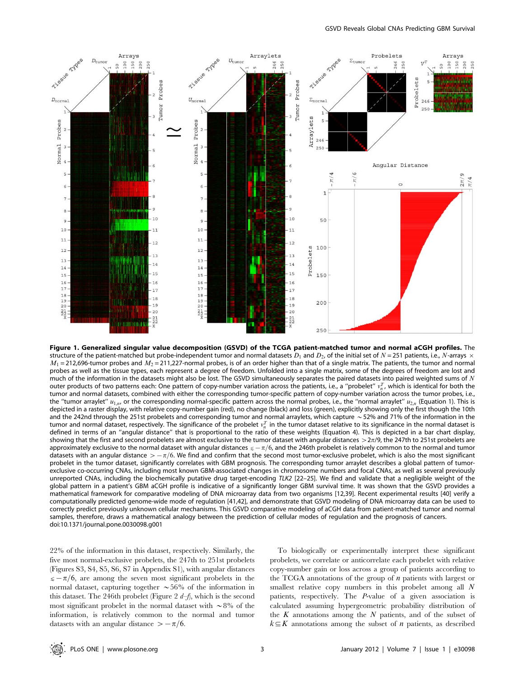

Figure 1. Generalized singular value decomposition (GSVD) of the TCGA patient-matched tumor and normal aCGH profiles. The structure of the patient-matched but probe-independent tumor and normal datasets  $D_1$  and  $D_2$ , of the initial set of  $N = 251$  patients, i.e., N-arrays  $\times$  $M_1$  = 212,696-tumor probes and  $M_2$  = 211,227-normal probes, is of an order higher than that of a single matrix. The patients, the tumor and normal probes as well as the tissue types, each represent a degree of freedom. Unfolded into a single matrix, some of the degrees of freedom are lost and much of the information in the datasets might also be lost. The GSVD simultaneously separates the paired datasets into paired weighted sums of  $N$ outer products of two patterns each: One pattern of copy-number variation across the patients, i.e., a "probelet"  $v_n^T$ , which is identical for both the tumor and normal datasets, combined with either the corresponding tumor-specific pattern of copy-number variation across the tumor probes, i.e., the "tumor arraylet"  $u_{1,n}$ , or the corresponding normal-specific pattern across the normal probes, i.e., the "normal arraylet"  $u_{2,n}$  (Equation 1). This is depicted in a raster display, with relative copy-number gain (red), no change (black) and loss (green), explicitly showing only the first though the 10th and the 242nd through the 251st probelets and corresponding tumor and normal arraylets, which capture ~52% and 71% of the information in the tumor and normal dataset, respectively. The significance of the probelet  $v_n^T$  in the tumor dataset relative to its significance in the normal dataset is defined in terms of an ''angular distance'' that is proportional to the ratio of these weights (Equation 4). This is depicted in a bar chart display, showing that the first and second probelets are almost exclusive to the tumor dataset with angular distances  $>2\pi/9$ , the 247th to 251st probelets are approximately exclusive to the normal dataset with angular distances  $\leq -\pi/6$ , and the 246th probelet is relatively common to the normal and tumor datasets with an angular distance  $\frac{p}{\pi/6}$ . We find and confirm that the second most tumor-exclusive probelet, which is also the most significant probelet in the tumor dataset, significantly correlates with GBM prognosis. The corresponding tumor arraylet describes a global pattern of tumorexclusive co-occurring CNAs, including most known GBM-associated changes in chromosome numbers and focal CNAs, as well as several previously unreported CNAs, including the biochemically putative drug target-encoding TLK2 [22-25]. We find and validate that a negligible weight of the global pattern in a patient's GBM aCGH profile is indicative of a significantly longer GBM survival time. It was shown that the GSVD provides a mathematical framework for comparative modeling of DNA microarray data from two organisms [12,39]. Recent experimental results [40] verify a computationally predicted genome-wide mode of regulation [41,42], and demonstrate that GSVD modeling of DNA microarray data can be used to correctly predict previously unknown cellular mechanisms. This GSVD comparative modeling of aCGH data from patient-matched tumor and normal samples, therefore, draws a mathematical analogy between the prediction of cellular modes of regulation and the prognosis of cancers. doi:10.1371/journal.pone.0030098.g001

22% of the information in this dataset, respectively. Similarly, the five most normal-exclusive probelets, the 247th to 251st probelets (Figures S3, S4, S5, S6, S7 in Appendix S1), with angular distances  $\epsilon = \pi/6$ , are among the seven most significant probelets in the normal dataset, capturing together  $\sim 56\%$  of the information in this dataset. The 246th probelet (Figure 2  $d$ –f), which is the second most significant probelet in the normal dataset with  $\sim8\%$  of the information, is relatively common to the normal and tumor datasets with an angular distance  $>-\pi/6$ .

To biologically or experimentally interpret these significant probelets, we correlate or anticorrelate each probelet with relative copy-number gain or loss across a group of patients according to the TCGA annotations of the group of  $n$  patients with largest or smallest relative copy numbers in this probelet among all N patients, respectively. The P-value of a given association is calculated assuming hypergeometric probability distribution of the  $K$  annotations among the  $N$  patients, and of the subset of  $k \subseteq K$  annotations among the subset of *n* patients, as described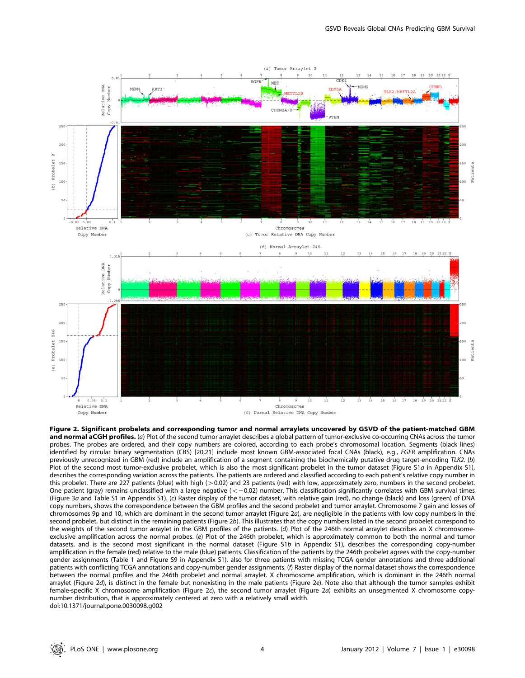

Figure 2. Significant probelets and corresponding tumor and normal arraylets uncovered by GSVD of the patient-matched GBM and normal aCGH profiles. (a) Plot of the second tumor arraylet describes a global pattern of tumor-exclusive co-occurring CNAs across the tumor probes. The probes are ordered, and their copy numbers are colored, according to each probe's chromosomal location. Segments (black lines) identified by circular binary segmentation (CBS) [20,21] include most known GBM-associated focal CNAs (black), e.g., EGFR amplification. CNAs previously unrecognized in GBM (red) include an amplification of a segment containing the biochemically putative drug target-encoding TLK2. (b) Plot of the second most tumor-exclusive probelet, which is also the most significant probelet in the tumor dataset (Figure S1a in Appendix S1), describes the corresponding variation across the patients. The patients are ordered and classified according to each patient's relative copy number in this probelet. There are 227 patients (blue) with high  $(>0.02)$  and 23 patients (red) with low, approximately zero, numbers in the second probelet. One patient (gray) remains unclassified with a large negative  $(< -0.02)$  number. This classification significantly correlates with GBM survival times (Figure 3a and Table S1 in Appendix S1). (c) Raster display of the tumor dataset, with relative gain (red), no change (black) and loss (green) of DNA copy numbers, shows the correspondence between the GBM profiles and the second probelet and tumor arraylet. Chromosome 7 gain and losses of chromosomes 9p and 10, which are dominant in the second tumor arraylet (Figure 2a), are negligible in the patients with low copy numbers in the second probelet, but distinct in the remaining patients (Figure 2b). This illustrates that the copy numbers listed in the second probelet correspond to the weights of the second tumor arraylet in the GBM profiles of the patients. (d) Plot of the 246th normal arraylet describes an X chromosomeexclusive amplification across the normal probes. (e) Plot of the 246th probelet, which is approximately common to both the normal and tumor datasets, and is the second most significant in the normal dataset (Figure S1b in Appendix S1), describes the corresponding copy-number amplification in the female (red) relative to the male (blue) patients. Classification of the patients by the 246th probelet agrees with the copy-number gender assignments (Table 1 and Figure S9 in Appendix S1), also for three patients with missing TCGA gender annotations and three additional patients with conflicting TCGA annotations and copy-number gender assignments. (f) Raster display of the normal dataset shows the correspondence between the normal profiles and the 246th probelet and normal arraylet. X chromosome amplification, which is dominant in the 246th normal arraylet (Figure 2d), is distinct in the female but nonexisting in the male patients (Figure 2e). Note also that although the tumor samples exhibit female-specific X chromosome amplification (Figure 2c), the second tumor arraylet (Figure 2a) exhibits an unsegmented X chromosome copynumber distribution, that is approximately centered at zero with a relatively small width. doi:10.1371/journal.pone.0030098.g002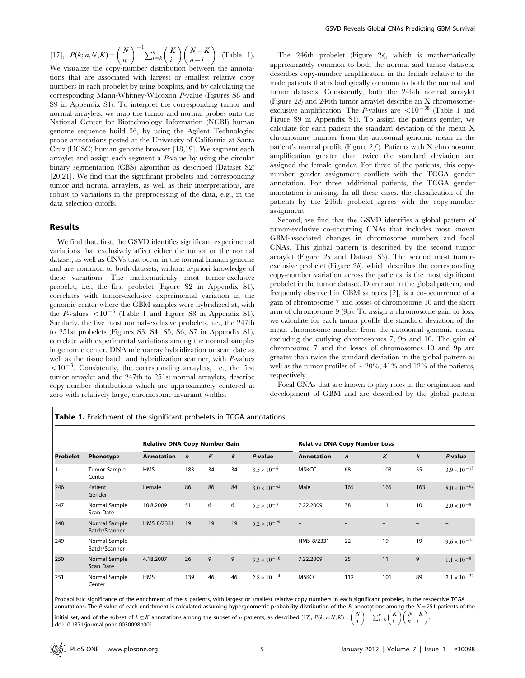[17],  $P(k; n, N, K) = \binom{N}{n}$  $\binom{N}{n}^{-1} \sum_{i=k}^{n} \binom{K}{i}$ i  $(X)$   $(N-K)$  $n-i$  $\left\langle \begin{array}{cc} N & V \end{array} \right\rangle$ (Table 1). We visualize the copy-number distribution between the annotations that are associated with largest or smallest relative copy numbers in each probelet by using boxplots, and by calculating the corresponding Mann-Whitney-Wilcoxon P-value (Figures S8 and S9 in Appendix S1). To interpret the corresponding tumor and normal arraylets, we map the tumor and normal probes onto the National Center for Biotechnology Information (NCBI) human genome sequence build 36, by using the Agilent Technologies probe annotations posted at the University of California at Santa Cruz (UCSC) human genome browser [18,19]. We segment each arraylet and assign each segment a P-value by using the circular binary segmentation (CBS) algorithm as described (Dataset S2) [20,21]. We find that the significant probelets and corresponding tumor and normal arraylets, as well as their interpretations, are robust to variations in the preprocessing of the data, e.g., in the data selection cutoffs.

#### Results

We find that, first, the GSVD identifies significant experimental variations that exclusively affect either the tumor or the normal dataset, as well as CNVs that occur in the normal human genome and are common to both datasets, without a-priori knowledge of these variations. The mathematically most tumor-exclusive probelet, i.e., the first probelet (Figure S2 in Appendix S1), correlates with tumor-exclusive experimental variation in the genomic center where the GBM samples were hybridized at, with the P-values  $\langle 10^{-5}$  (Table 1 and Figure S8 in Appendix S1). Similarly, the five most normal-exclusive probelets, i.e., the 247th to 251st probelets (Figures S3, S4, S5, S6, S7 in Appendix S1), correlate with experimental variations among the normal samples in genomic center, DNA microarray hybridization or scan date as well as the tissue batch and hybridization scanner, with P-values  $\langle 10^{-3}$ . Consistently, the corresponding arraylets, i.e., the first tumor arraylet and the 247th to 251st normal arraylets, describe copy-number distributions which are approximately centered at zero with relatively large, chromosome-invariant widths.

The 246th probelet (Figure 2e), which is mathematically approximately common to both the normal and tumor datasets, describes copy-number amplification in the female relative to the male patients that is biologically common to both the normal and tumor datasets. Consistently, both the 246th normal arraylet (Figure 2d) and 246th tumor arraylet describe an X chromosomeexclusive amplification. The *P*-values are  $\langle 10^{-38} \rangle$  (Table 1 and Figure S9 in Appendix S1). To assign the patients gender, we calculate for each patient the standard deviation of the mean X chromosome number from the autosomal genomic mean in the patient's normal profile (Figure  $2f$ ). Patients with X chromosome amplification greater than twice the standard deviation are assigned the female gender. For three of the patients, this copynumber gender assignment conflicts with the TCGA gender annotation. For three additional patients, the TCGA gender annotation is missing. In all these cases, the classification of the patients by the 246th probelet agrees with the copy-number assignment.

Second, we find that the GSVD identifies a global pattern of tumor-exclusive co-occurring CNAs that includes most known GBM-associated changes in chromosome numbers and focal CNAs. This global pattern is described by the second tumor arraylet (Figure 2a and Dataset S3). The second most tumorexclusive probelet (Figure  $2b$ ), which describes the corresponding copy-number variation across the patients, is the most significant probelet in the tumor dataset. Dominant in the global pattern, and frequently observed in GBM samples [2], is a co-occurrence of a gain of chromosome 7 and losses of chromosome 10 and the short arm of chromosome 9 (9p). To assign a chromosome gain or loss, we calculate for each tumor profile the standard deviation of the mean chromosome number from the autosomal genomic mean, excluding the outlying chromosomes 7, 9p and 10. The gain of chromosome 7 and the losses of chromosomes 10 and 9p are greater than twice the standard deviation in the global pattern as well as the tumor profiles of  $\sim$  20%, 41% and 12% of the patients, respectively.

Focal CNAs that are known to play roles in the origination and development of GBM and are described by the global pattern

| Probelet | Phenotype                      | <b>Relative DNA Copy Number Gain</b> |             |    |                  |                       | <b>Relative DNA Copy Number Loss</b> |             |          |                  |                       |
|----------|--------------------------------|--------------------------------------|-------------|----|------------------|-----------------------|--------------------------------------|-------------|----------|------------------|-----------------------|
|          |                                | <b>Annotation</b>                    | $\mathbf n$ | K  | $\boldsymbol{k}$ | $P$ -value            | <b>Annotation</b>                    | $\mathbf n$ | $\kappa$ | $\boldsymbol{k}$ | $P$ -value            |
| l 1      | Tumor Sample<br>Center         | <b>HMS</b>                           | 183         | 34 | 34               | $8.5 \times 10^{-6}$  | <b>MSKCC</b>                         | 68          | 103      | 55               | $3.9 \times 10^{-15}$ |
| 246      | Patient<br>Gender              | Female                               | 86          | 86 | 84               | $8.0 \times 10^{-62}$ | Male                                 | 165         | 165      | 163              | $8.0 \times 10^{-62}$ |
| 247      | Normal Sample<br>Scan Date     | 10.8.2009                            | 51          | 6  | 6                | $5.5 \times 10^{-5}$  | 7.22.2009                            | 38          | 11       | 10               | $2.0 \times 10^{-8}$  |
| 248      | Normal Sample<br>Batch/Scanner | HMS 8/2331                           | 19          | 19 | 19               | $6.2 \times 10^{-29}$ |                                      |             |          |                  |                       |
| 249      | Normal Sample<br>Batch/Scanner | $\overline{\phantom{0}}$             |             |    |                  |                       | HMS 8/2331                           | 22          | 19       | 19               | $9.6 \times 10^{-26}$ |
| 250      | Normal Sample<br>Scan Date     | 4.18.2007                            | 26          | 9  | 9                | $3.3 \times 10^{-10}$ | 7.22.2009                            | 25          | 11       | 9                | $1.1 \times 10^{-8}$  |
| 251      | Normal Sample<br>Center        | <b>HMS</b>                           | 139         | 46 | 46               | $2.8 \times 10^{-14}$ | <b>MSKCC</b>                         | 112         | 101      | 89               | $2.1 \times 10^{-32}$ |

Table 1. Enrichment of the significant probelets in TCGA annotations.

Probabilistic significance of the enrichment of the n patients, with largest or smallest relative copy numbers in each significant probelet, in the respective TCGA annotations. The P-value of each enrichment is calculated assuming hypergeometric probability distribution of the K annotations among the N = 251 patients of the the distribution of the K annotations among the N = 251 pat

initial set, and of the subset of  $k \subseteq K$  annotations among the subset of n patients, as described [17],  $P(k; n, N, K) = {N \choose n}^{-1} \sum_{i=k}^{n} {K \choose i}$ i  $\bigwedge K$  $n$ <sup> $-$ </sup> doi:10.1371/journal.pone.0030098.t001

.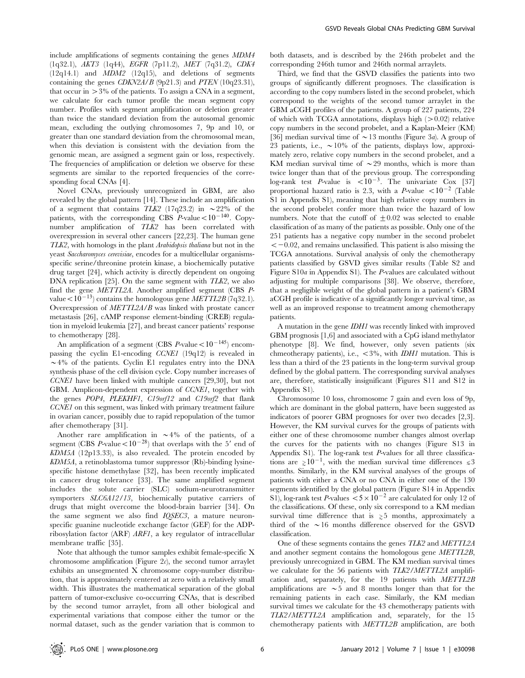include amplifications of segments containing the genes MDM4 (1q32.1), AKT3 (1q44), EGFR (7p11.2), MET (7q31.2), CDK4 (12q14.1) and MDM2 (12q15), and deletions of segments containing the genes CDKN2A/B (9p21.3) and PTEN (10q23.31), that occur in  $>3\%$  of the patients. To assign a CNA in a segment, we calculate for each tumor profile the mean segment copy number. Profiles with segment amplification or deletion greater than twice the standard deviation from the autosomal genomic mean, excluding the outlying chromosomes 7, 9p and 10, or greater than one standard deviation from the chromosomal mean, when this deviation is consistent with the deviation from the genomic mean, are assigned a segment gain or loss, respectively. The frequencies of amplification or deletion we observe for these segments are similar to the reported frequencies of the corresponding focal CNAs [4].

Novel CNAs, previously unrecognized in GBM, are also revealed by the global pattern [14]. These include an amplification of a segment that contains TLK2 (17q23.2) in  $\sim$  22% of the patients, with the corresponding CBS  $P$ -value <  $10^{-140}$ . Copynumber amplification of TLK2 has been correlated with overexpression in several other cancers [22,23]. The human gene TLK2, with homologs in the plant Arabidopsis thaliana but not in the yeast Saccharomyces cerevisiae, encodes for a multicellular organismsspecific serine/threonine protein kinase, a biochemically putative drug target [24], which activity is directly dependent on ongoing DNA replication [25]. On the same segment with *TLK2*, we also find the gene METTL2A. Another amplified segment (CBS Pvalue  $\lt 10^{-13}$ ) contains the homologous gene METTL2B (7q32.1). Overexpression of METTL2A/B was linked with prostate cancer metastasis [26], cAMP response element-binding (CREB) regulation in myeloid leukemia [27], and breast cancer patients' response to chemotherapy [28].

An amplification of a segment (CBS *P*-value  $< 10^{-145}$ ) encompassing the cyclin E1-encoding CCNE1 (19q12) is revealed in  $\sim$ 4% of the patients. Cyclin E1 regulates entry into the DNA synthesis phase of the cell division cycle. Copy number increases of CCNE1 have been linked with multiple cancers [29,30], but not GBM. Amplicon-dependent expression of CCNE1, together with the genes POP4, PLEKHF1, C19orf12 and C19orf2 that flank CCNE1 on this segment, was linked with primary treatment failure in ovarian cancer, possibly due to rapid repopulation of the tumor after chemotherapy [31].

Another rare amplification in  $\sim 4\%$  of the patients, of a segment (CBS P-value  $< 10^{-28}$ ) that overlaps with the 5' end of KDM5A (12p13.33), is also revealed. The protein encoded by KDM5A, a retinoblastoma tumor suppressor (Rb)-binding lysinespecific histone demethylase [32], has been recently implicated in cancer drug tolerance [33]. The same amplified segment includes the solute carrier (SLC) sodium-neurotransmitter symporters SLC6A12/13, biochemically putative carriers of drugs that might overcome the blood-brain barrier [34]. On the same segment we also find IQSEC3, a mature neuronspecific guanine nucleotide exchange factor (GEF) for the ADPribosylation factor (ARF) ARF1, a key regulator of intracellular membrane traffic [35].

Note that although the tumor samples exhibit female-specific X chromosome amplification (Figure  $2c$ ), the second tumor arraylet exhibits an unsegmented X chromosome copy-number distribution, that is approximately centered at zero with a relatively small width. This illustrates the mathematical separation of the global pattern of tumor-exclusive co-occurring CNAs, that is described by the second tumor arraylet, from all other biological and experimental variations that compose either the tumor or the normal dataset, such as the gender variation that is common to

both datasets, and is described by the 246th probelet and the corresponding 246th tumor and 246th normal arraylets.

Third, we find that the GSVD classifies the patients into two groups of significantly different prognoses. The classification is according to the copy numbers listed in the second probelet, which correspond to the weights of the second tumor arraylet in the GBM aCGH profiles of the patients. A group of 227 patients, 224 of which with TCGA annotations, displays high  $(>0.02)$  relative copy numbers in the second probelet, and a Kaplan-Meier (KM) [36] median survival time of  $\sim$  13 months (Figure 3*a*). A group of 23 patients, i.e.,  $\sim 10\%$  of the patients, displays low, approximately zero, relative copy numbers in the second probelet, and a KM median survival time of  $\sim$  29 months, which is more than twice longer than that of the previous group. The corresponding log-rank test P-value is  $\langle 10^{-3}$ . The univariate Cox [37] proportional hazard ratio is 2.3, with a P-value  $\langle 10^{-2} \rangle$  (Table S1 in Appendix S1), meaning that high relative copy numbers in the second probelet confer more than twice the hazard of low numbers. Note that the cutoff of  $\pm 0.02$  was selected to enable classification of as many of the patients as possible. Only one of the 251 patients has a negative copy number in the second probelet  $<-0.02$ , and remains unclassified. This patient is also missing the TCGA annotations. Survival analysis of only the chemotherapy patients classified by GSVD gives similar results (Table S2 and Figure S10a in Appendix S1). The P-values are calculated without adjusting for multiple comparisons [38]. We observe, therefore, that a negligible weight of the global pattern in a patient's GBM aCGH profile is indicative of a significantly longer survival time, as well as an improved response to treatment among chemotherapy patients.

A mutation in the gene IDH1 was recently linked with improved GBM prognosis [1,6] and associated with a CpG island methylator phenotype [8]. We find, however, only seven patients (six chmeotherapy patients), i.e.,  $\langle 3\%, \text{ with } IDHI$  mutation. This is less than a third of the 23 patients in the long-term survival group defined by the global pattern. The corresponding survival analyses are, therefore, statistically insignificant (Figures S11 and S12 in Appendix S1).

Chromosome 10 loss, chromosome 7 gain and even loss of 9p, which are dominant in the global pattern, have been suggested as indicators of poorer GBM prognoses for over two decades [2,3]. However, the KM survival curves for the groups of patients with either one of these chromosome number changes almost overlap the curves for the patients with no changes (Figure S13 in Appendix S1). The log-rank test P-values for all three classifications are  $\geq 10^{-1}$ , with the median survival time differences  $\leq 3$ months. Similarly, in the KM survival analyses of the groups of patients with either a CNA or no CNA in either one of the 130 segments identified by the global pattern (Figure S14 in Appendix S1), log-rank test P-values  $< 5 \times 10^{-2}$  are calculated for only 12 of the classifications. Of these, only six correspond to a KM median survival time difference that is  $\geq 5$  months, approximately a third of the  $\sim$ 16 months difference observed for the GSVD classification.

One of these segments contains the genes TLK2 and METTL2A and another segment contains the homologous gene METTL2B, previously unrecognized in GBM. The KM median survival times we calculate for the 56 patients with TLK2/METTL2A amplification and, separately, for the 19 patients with METTL2B amplifications are  $\sim$  5 and 8 months longer than that for the remaining patients in each case. Similarly, the KM median survival times we calculate for the 43 chemotherapy patients with TLK2/METTL2A amplification and, separately, for the 15 chemotherapy patients with METTL2B amplification, are both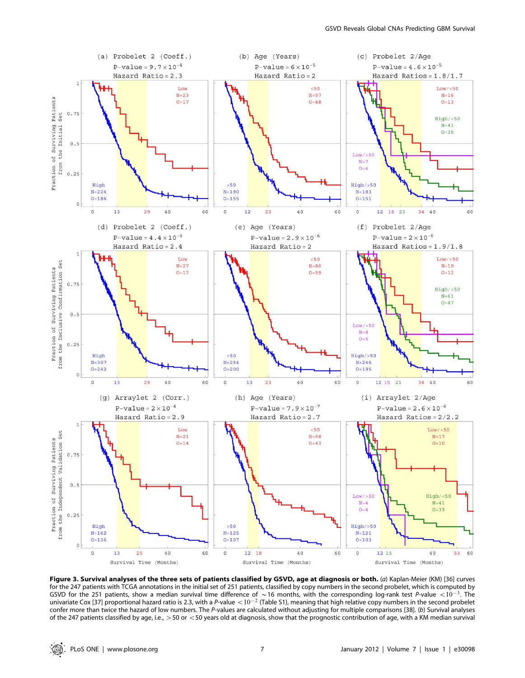

Figure 3. Survival analyses of the three sets of patients classified by GSVD, age at diagnosis or both. (a) Kaplan-Meier (KM) [36] curves for the 247 patients with TCGA annotations in the initial set of 251 patients, classified by copy numbers in the second probelet, which is computed by GSVD for the 251 patients, show a median survival time difference of  $\sim$  16 months, with the corresponding log-rank test P-value <10<sup>-3</sup>. The univariate Cox [37] proportional hazard ratio is 2.3, with a P-value  $<$  10<sup>-2</sup> (Table S1), meaning that high relative copy numbers in the second probelet confer more than twice the hazard of low numbers. The P-values are calculated without adjusting for multiple comparisons [38]. (b) Survival analyses of the 247 patients classified by age, i.e., > 50 or < 50 years old at diagnosis, show that the prognostic contribution of age, with a KM median survival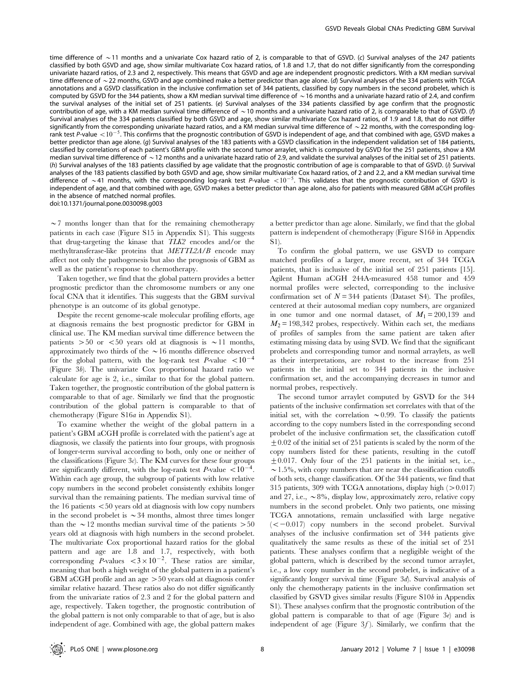time difference of  $\sim$  11 months and a univariate Cox hazard ratio of 2, is comparable to that of GSVD. (c) Survival analyses of the 247 patients classified by both GSVD and age, show similar multivariate Cox hazard ratios, of 1.8 and 1.7, that do not differ significantly from the corresponding univariate hazard ratios, of 2.3 and 2, respectively. This means that GSVD and age are independent prognostic predictors. With a KM median survival time difference of  $\sim$  22 months, GSVD and age combined make a better predictor than age alone. (d) Survival analyses of the 334 patients with TCGA annotations and a GSVD classification in the inclusive confirmation set of 344 patients, classified by copy numbers in the second probelet, which is computed by GSVD for the 344 patients, show a KM median survival time difference of  $\sim$  16 months and a univariate hazard ratio of 2.4, and confirm the survival analyses of the initial set of 251 patients. (e) Survival analyses of the 334 patients classified by age confirm that the prognostic contribution of age, with a KM median survival time difference of  $\sim$  10 months and a univariate hazard ratio of 2, is comparable to that of GSVD. (f) Survival analyses of the 334 patients classified by both GSVD and age, show similar multivariate Cox hazard ratios, of 1.9 and 1.8, that do not differ significantly from the corresponding univariate hazard ratios, and a KM median survival time difference of  $\sim$ 22 months, with the corresponding logrank test P-value  $<$ 10<sup>-5</sup>. This confirms that the prognostic contribution of GSVD is independent of age, and that combined with age, GSVD makes a better predictor than age alone. (g) Survival analyses of the 183 patients with a GSVD classification in the independent validation set of 184 patients, classified by correlations of each patient's GBM profile with the second tumor arraylet, which is computed by GSVD for the 251 patients, show a KM median survival time difference of  $\sim$  12 months and a univariate hazard ratio of 2.9, and validate the survival analyses of the initial set of 251 patients. (h) Survival analyses of the 183 patients classified by age validate that the prognostic contribution of age is comparable to that of GSVD. (i) Survival analyses of the 183 patients classified by both GSVD and age, show similar multivariate Cox hazard ratios, of 2 and 2.2, and a KM median survival time difference of  $\sim$ 41 months, with the corresponding log-rank test P-value  $\lt 10^{-5}$ . This validates that the prognostic contribution of GSVD is independent of age, and that combined with age, GSVD makes a better predictor than age alone, also for patients with measured GBM aCGH profiles in the absence of matched normal profiles.

doi:10.1371/journal.pone.0030098.g003

 $\sim$ 7 months longer than that for the remaining chemotherapy patients in each case (Figure S15 in Appendix S1). This suggests that drug-targeting the kinase that TLK2 encodes and/or the methyltransferase-like proteins that METTL2A/B encode may affect not only the pathogenesis but also the prognosis of GBM as well as the patient's response to chemotherapy.

Taken together, we find that the global pattern provides a better prognostic predictor than the chromosome numbers or any one focal CNA that it identifies. This suggests that the GBM survival phenotype is an outcome of its global genotype.

Despite the recent genome-scale molecular profiling efforts, age at diagnosis remains the best prognostic predictor for GBM in clinical use. The KM median survival time difference between the patients  $>50$  or  $< 50$  years old at diagnosis is  $\sim 11$  months, approximately two thirds of the  $\sim16$  months difference observed for the global pattern, with the log-rank test P-value  $\langle 10^{-4}$ (Figure 3b). The univariate Cox proportional hazard ratio we calculate for age is 2, i.e., similar to that for the global pattern. Taken together, the prognostic contribution of the global pattern is comparable to that of age. Similarly we find that the prognostic contribution of the global pattern is comparable to that of chemotherapy (Figure S16a in Appendix S1).

To examine whether the weight of the global pattern in a patient's GBM aCGH profile is correlated with the patient's age at diagnosis, we classify the patients into four groups, with prognosis of longer-term survival according to both, only one or neither of the classifications (Figure  $3c$ ). The KM curves for these four groups are significantly different, with the log-rank test  $P$ -value  $\lt 10^{-4}$ . Within each age group, the subgroup of patients with low relative copy numbers in the second probelet consistently exhibits longer survival than the remaining patients. The median survival time of the 16 patients  $<$  50 years old at diagnosis with low copy numbers in the second probelet is  $\sim$  34 months, almost three times longer than the  $\sim$ 12 months median survival time of the patients  $>50$ years old at diagnosis with high numbers in the second probelet. The multivariate Cox proportional hazard ratios for the global pattern and age are 1.8 and 1.7, respectively, with both corresponding P-values  $<$ 3 $\times$ 10<sup>-2</sup>. These ratios are similar, meaning that both a high weight of the global pattern in a patient's GBM aCGH profile and an age  $>50$  years old at diagnosis confer similar relative hazard. These ratios also do not differ significantly from the univariate ratios of 2.3 and 2 for the global pattern and age, respectively. Taken together, the prognostic contribution of the global pattern is not only comparable to that of age, but is also independent of age. Combined with age, the global pattern makes a better predictor than age alone. Similarly, we find that the global pattern is independent of chemotherapy (Figure S16b in Appendix S1).

To confirm the global pattern, we use GSVD to compare matched profiles of a larger, more recent, set of 344 TCGA patients, that is inclusive of the initial set of 251 patients [15]. Agilent Human aCGH 244A-measured 458 tumor and 459 normal profiles were selected, corresponding to the inclusive confirmation set of  $N = 344$  patients (Dataset S4). The profiles, centered at their autosomal median copy numbers, are organized in one tumor and one normal dataset, of  $M_1 = 200,139$  and  $M_2$  = 198,342 probes, respectively. Within each set, the medians of profiles of samples from the same patient are taken after estimating missing data by using SVD. We find that the significant probelets and corresponding tumor and normal arraylets, as well as their interpretations, are robust to the increase from 251 patients in the initial set to 344 patients in the inclusive confirmation set, and the accompanying decreases in tumor and normal probes, respectively.

The second tumor arraylet computed by GSVD for the 344 patients of the inclusive confirmation set correlates with that of the initial set, with the correlation  $\sim 0.99$ . To classify the patients according to the copy numbers listed in the corresponding second probelet of the inclusive confirmation set, the classification cutoff  $\pm 0.02$  of the initial set of 251 patients is scaled by the norm of the copy numbers listed for these patients, resulting in the cutoff  $\pm 0.017$ . Only four of the 251 patients in the initial set, i.e.,  $\sim$  1.5%, with copy numbers that are near the classification cutoffs of both sets, change classification. Of the 344 patients, we find that 315 patients, 309 with TCGA annotations, display high  $(>0.017)$ and 27, i.e.,  $\sim 8\%$ , display low, approximately zero, relative copy numbers in the second probelet. Only two patients, one missing TCGA annotations, remain unclassified with large negative  $(< -0.017)$  copy numbers in the second probelet. Survival analyses of the inclusive confirmation set of 344 patients give qualitatively the same results as these of the initial set of 251 patients. These analyses confirm that a negligible weight of the global pattern, which is described by the second tumor arraylet, i.e., a low copy number in the second probelet, is indicative of a significantly longer survival time (Figure 3d). Survival analysis of only the chemotherapy patients in the inclusive confirmation set classified by GSVD gives similar results (Figure S10b in Appendix S1). These analyses confirm that the prognostic contribution of the global pattern is comparable to that of age (Figure  $3e$ ) and is independent of age (Figure  $3f$ ). Similarly, we confirm that the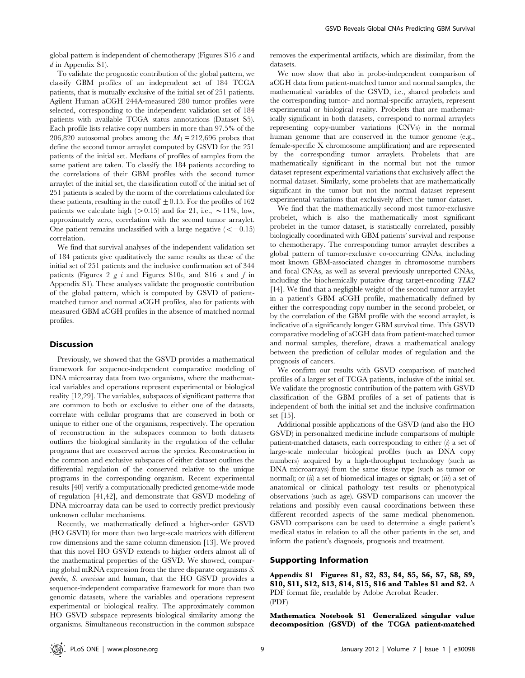global pattern is independent of chemotherapy (Figures S16  $c$  and  $d$  in Appendix S1).

To validate the prognostic contribution of the global pattern, we classify GBM profiles of an independent set of 184 TCGA patients, that is mutually exclusive of the initial set of 251 patients. Agilent Human aCGH 244A-measured 280 tumor profiles were selected, corresponding to the independent validation set of 184 patients with available TCGA status annotations (Dataset S5). Each profile lists relative copy numbers in more than 97.5% of the 206,820 autosomal probes among the  $M_1 = 212,696$  probes that define the second tumor arraylet computed by GSVD for the 251 patients of the initial set. Medians of profiles of samples from the same patient are taken. To classify the 184 patients according to the correlations of their GBM profiles with the second tumor arraylet of the initial set, the classification cutoff of the initial set of 251 patients is scaled by the norm of the correlations calculated for these patients, resulting in the cutoff  $\pm 0.15$ . For the profiles of 162 patients we calculate high ( $> 0.15$ ) and for 21, i.e.,  $\sim 11\%$ , low, approximately zero, correlation with the second tumor arraylet. One patient remains unclassified with a large negative  $\left(\langle\,-0.15\right)\,$ correlation.

We find that survival analyses of the independent validation set of 184 patients give qualitatively the same results as these of the initial set of 251 patients and the inclusive confirmation set of 344 patients (Figures 2  $g-i$  and Figures S10c, and S16 e and f in Appendix S1). These analyses validate the prognostic contribution of the global pattern, which is computed by GSVD of patientmatched tumor and normal aCGH profiles, also for patients with measured GBM aCGH profiles in the absence of matched normal profiles.

#### Discussion

Previously, we showed that the GSVD provides a mathematical framework for sequence-independent comparative modeling of DNA microarray data from two organisms, where the mathematical variables and operations represent experimental or biological reality [12,29]. The variables, subspaces of significant patterns that are common to both or exclusive to either one of the datasets, correlate with cellular programs that are conserved in both or unique to either one of the organisms, respectively. The operation of reconstruction in the subspaces common to both datasets outlines the biological similarity in the regulation of the cellular programs that are conserved across the species. Reconstruction in the common and exclusive subspaces of either dataset outlines the differential regulation of the conserved relative to the unique programs in the corresponding organism. Recent experimental results [40] verify a computationally predicted genome-wide mode of regulation [41,42], and demonstrate that GSVD modeling of DNA microarray data can be used to correctly predict previously unknown cellular mechanisms.

Recently, we mathematically defined a higher-order GSVD (HO GSVD) for more than two large-scale matrices with different row dimensions and the same column dimension [13]. We proved that this novel HO GSVD extends to higher orders almost all of the mathematical properties of the GSVD. We showed, comparing global mRNA expression from the three disparate organisms S. pombe, S. cerevisiae and human, that the HO GSVD provides a sequence-independent comparative framework for more than two genomic datasets, where the variables and operations represent experimental or biological reality. The approximately common HO GSVD subspace represents biological similarity among the organisms. Simultaneous reconstruction in the common subspace

removes the experimental artifacts, which are dissimilar, from the datasets.

We now show that also in probe-independent comparison of aCGH data from patient-matched tumor and normal samples, the mathematical variables of the GSVD, i.e., shared probelets and the corresponding tumor- and normal-specific arraylets, represent experimental or biological reality. Probelets that are mathematically significant in both datasets, correspond to normal arraylets representing copy-number variations (CNVs) in the normal human genome that are conserved in the tumor genome (e.g., female-specific X chromosome amplification) and are represented by the corresponding tumor arraylets. Probelets that are mathematically significant in the normal but not the tumor dataset represent experimental variations that exclusively affect the normal dataset. Similarly, some probelets that are mathematically significant in the tumor but not the normal dataset represent experimental variations that exclusively affect the tumor dataset.

We find that the mathematically second most tumor-exclusive probelet, which is also the mathematically most significant probelet in the tumor dataset, is statistically correlated, possibly biologically coordinated with GBM patients' survival and response to chemotherapy. The corresponding tumor arraylet describes a global pattern of tumor-exclusive co-occurring CNAs, including most known GBM-associated changes in chromosome numbers and focal CNAs, as well as several previously unreported CNAs, including the biochemically putative drug target-encoding TLK2 [14]. We find that a negligible weight of the second tumor arraylet in a patient's GBM aCGH profile, mathematically defined by either the corresponding copy number in the second probelet, or by the correlation of the GBM profile with the second arraylet, is indicative of a significantly longer GBM survival time. This GSVD comparative modeling of aCGH data from patient-matched tumor and normal samples, therefore, draws a mathematical analogy between the prediction of cellular modes of regulation and the prognosis of cancers.

We confirm our results with GSVD comparison of matched profiles of a larger set of TCGA patients, inclusive of the initial set. We validate the prognostic contribution of the pattern with GSVD classification of the GBM profiles of a set of patients that is independent of both the initial set and the inclusive confirmation set [15].

Additional possible applications of the GSVD (and also the HO GSVD) in personalized medicine include comparisons of multiple patient-matched datasets, each corresponding to either  $(i)$  a set of large-scale molecular biological profiles (such as DNA copy numbers) acquired by a high-throughput technology (such as DNA microarrays) from the same tissue type (such as tumor or normal); or  $(ii)$  a set of biomedical images or signals; or  $(iii)$  a set of anatomical or clinical pathology test results or phenotypical observations (such as age). GSVD comparisons can uncover the relations and possibly even causal coordinations between these different recorded aspects of the same medical phenomenon. GSVD comparisons can be used to determine a single patient's medical status in relation to all the other patients in the set, and inform the patient's diagnosis, prognosis and treatment.

# Supporting Information

Appendix S1 Figures S1, S2, S3, S4, S5, S6, S7, S8, S9, S10, S11, S12, S13, S14, S15, S16 and Tables S1 and S2. A PDF format file, readable by Adobe Acrobat Reader. (PDF)

Mathematica Notebook S1 Generalized singular value decomposition (GSVD) of the TCGA patient-matched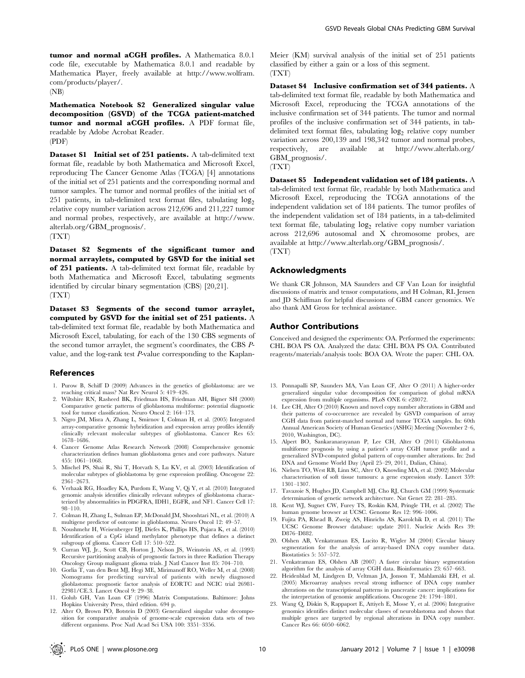tumor and normal aCGH profiles. A Mathematica 8.0.1 code file, executable by Mathematica 8.0.1 and readable by Mathematica Player, freely available at http://www.wolfram. com/products/player/.

(NB)

Mathematica Notebook S2 Generalized singular value decomposition (GSVD) of the TCGA patient-matched tumor and normal aCGH profiles. A PDF format file, readable by Adobe Acrobat Reader. (PDF)

Dataset S1 Initial set of 251 patients. A tab-delimited text format file, readable by both Mathematica and Microsoft Excel, reproducing The Cancer Genome Atlas (TCGA) [4] annotations of the initial set of 251 patients and the corresponding normal and tumor samples. The tumor and normal profiles of the initial set of 251 patients, in tab-delimited text format files, tabulating  $log<sub>2</sub>$ relative copy number variation across 212,696 and 211,227 tumor and normal probes, respectively, are available at http://www. alterlab.org/GBM\_prognosis/.

(TXT)

Dataset S2 Segments of the significant tumor and normal arraylets, computed by GSVD for the initial set of 251 patients. A tab-delimited text format file, readable by both Mathematica and Microsoft Excel, tabulating segments identified by circular binary segmentation (CBS) [20,21]. (TXT)

Dataset S3 Segments of the second tumor arraylet, computed by GSVD for the initial set of 251 patients. A tab-delimited text format file, readable by both Mathematica and Microsoft Excel, tabulating, for each of the 130 CBS segments of the second tumor arraylet, the segment's coordinates, the CBS Pvalue, and the log-rank test P-value corresponding to the Kaplan-

# References

- 1. Purow B, Schiff D (2009) Advances in the genetics of glioblastoma: are we reaching critical mass? Nat Rev Neurol 5: 419–426.
- 2. Wiltshire RN, Rasheed BK, Friedman HS, Friedman AH, Bigner SH (2000) Comparative genetic patterns of glioblastoma multiforme: potential diagnostic tool for tumor classification. Neuro Oncol 2: 164–173.
- 3. Nigro JM, Misra A, Zhang L, Smirnov I, Colman H, et al. (2005) Integrated array-comparative genomic hybridization and expression array profiles identify clinically relevant molecular subtypes of glioblastoma. Cancer Res 65: 1678–1686.
- 4. Cancer Genome Atlas Research Network (2008) Comprehensive genomic characterization defines human glioblastoma genes and core pathways. Nature 455: 1061–1068.
- 5. Mischel PS, Shai R, Shi T, Horvath S, Lu KV, et al. (2003) Identification of molecular subtypes of glioblastoma by gene expression profiling. Oncogene 22: 2361–2673.
- 6. Verhaak RG, Hoadley KA, Purdom E, Wang V, Qi Y, et al. (2010) Integrated genomic analysis identifies clinically relevant subtypes of glioblastoma characterized by abnormalities in PDGFRA, IDH1, EGFR, and NF1. Cancer Cell 17: 98–110.
- 7. Colman H, Zhang L, Sulman EP, McDonald JM, Shooshtari NL, et al. (2010) A multigene predictor of outcome in glioblastoma. Neuro Oncol 12: 49–57.
- 8. Noushmehr H, Weisenberger DJ, Diefes K, Phillips HS, Pujara K, et al. (2010) Identification of a CpG island methylator phenotype that defines a distinct subgroup of glioma. Cancer Cell 17: 510–522.
- 9. Curran WJ, Jr., Scott CB, Horton J, Nelson JS, Weinstein AS, et al. (1993) Recursive partitioning analysis of prognostic factors in three Radiation Therapy Oncology Group malignant glioma trials. J Natl Cancer Inst 85: 704–710.
- 10. Gorlia T, van den Bent MJ, Hegi ME, Mirimanoff RO, Weller M, et al. (2008) Nomograms for predicting survival of patients with newly diagnosed glioblastoma: prognostic factor analysis of EORTC and NCIC trial 26981- 22981/CE.3. Lancet Oncol 9: 29–38.
- 11. Golub GH, Van Loan CF (1996) Matrix Computations. Baltimore: Johns Hopkins University Press, third edition. 694 p.
- 12. Alter O, Brown PO, Botstein D (2003) Generalized singular value decomposition for comparative analysis of genome-scale expression data sets of two different organisms. Proc Natl Acad Sci USA 100: 3351–3356.

Meier (KM) survival analysis of the initial set of 251 patients classified by either a gain or a loss of this segment. (TXT)

Dataset S4 Inclusive confirmation set of 344 patients. A tab-delimited text format file, readable by both Mathematica and Microsoft Excel, reproducing the TCGA annotations of the inclusive confirmation set of 344 patients. The tumor and normal profiles of the inclusive confirmation set of 344 patients, in tabdelimited text format files, tabulating  $log<sub>2</sub>$  relative copy number variation across 200,139 and 198,342 tumor and normal probes, respectively, are available at http://www.alterlab.org/ GBM\_prognosis/.

(TXT)

Dataset S5 Independent validation set of 184 patients. A tab-delimited text format file, readable by both Mathematica and Microsoft Excel, reproducing the TCGA annotations of the independent validation set of 184 patients. The tumor profiles of the independent validation set of 184 patients, in a tab-delimited text format file, tabulating  $log<sub>2</sub>$  relative copy number variation across 212,696 autosomal and X chromosome probes, are available at http://www.alterlab.org/GBM\_prognosis/. (TXT)

#### Acknowledgments

We thank CR Johnson, MA Saunders and CF Van Loan for insightful discussions of matrix and tensor computations, and H Colman, RL Jensen and JD Schiffman for helpful discussions of GBM cancer genomics. We also thank AM Gross for technical assistance.

# Author Contributions

Conceived and designed the experiments: OA. Performed the experiments: CHL BOA PS OA. Analyzed the data: CHL BOA PS OA. Contributed reagents/materials/analysis tools: BOA OA. Wrote the paper: CHL OA.

- 13. Ponnapalli SP, Saunders MA, Van Loan CF, Alter O (2011) A higher-order generalized singular value decomposition for comparison of global mRNA expression from multiple organisms. PLoS ONE 6: e28072.
- 14. Lee CH, Alter O (2010) Known and novel copy number alterations in GBM and their patterns of co-occurrence are revealed by GSVD comparison of array CGH data from patient-matched normal and tumor TCGA samples. In: 60th Annual American Society of Human Genetics (ASHG) Meeting (November 2–6, 2010, Washington, DC).
- 15. Alpert BO, Sankaranarayanan P, Lee CH, Alter O (2011) Glioblastoma multiforme prognosis by using a patient's array CGH tumor profile and a generalized SVD-computed global pattern of copy-number alterations. In: 2nd DNA and Genome World Day (April 25–29, 2011, Dalian, China).
- 16. Nielsen TO, West RB, Linn SC, Alter O, Knowling MA, et al. (2002) Molecular characterisation of soft tissue tumours: a gene expression study. Lancet 359: 1301–1307.
- 17. Tavazoie S, Hughes JD, Campbell MJ, Cho RJ, Church GM (1999) Systematic determination of genetic network architecture. Nat Genet 22: 281–285.
- 18. Kent WJ, Sugnet CW, Furey TS, Roskin KM, Pringle TH, et al. (2002) The human genome browser at UCSC. Genome Res 12: 996–1006.
- 19. Fujita PA, Rhead B, Zweig AS, Hinrichs AS, Karolchik D, et al. (2011) The UCSC Genome Browser database: update 2011. Nucleic Acids Res 39: D876–D882.
- 20. Olshen AB, Venkatraman ES, Lucito R, Wigler M (2004) Circular binary segmentation for the analysis of array-based DNA copy number data. Biostatistics 5: 557–572.
- 21. Venkatraman ES, Olshen AB (2007) A faster circular binary segmentation algorithm for the analysis of array CGH data. Bioinformatics 23: 657–663.
- 22. Heidenblad M, Lindgren D, Veltman JA, Jonson T, Mahlamaki EH, et al. (2005) Microarray analyses reveal strong influence of DNA copy number alterations on the transcriptional patterns in pancreatic cancer: implications for the interpretation of genomic amplifications. Oncogene 24: 1794–1801.
- 23. Wang Q, Diskin S, Rappaport E, Attiyeh E, Mosse Y, et al. (2006) Integrative genomics identifies distinct molecular classes of neuroblastoma and shows that multiple genes are targeted by regional alterations in DNA copy number. Cancer Res 66: 6050–6062.